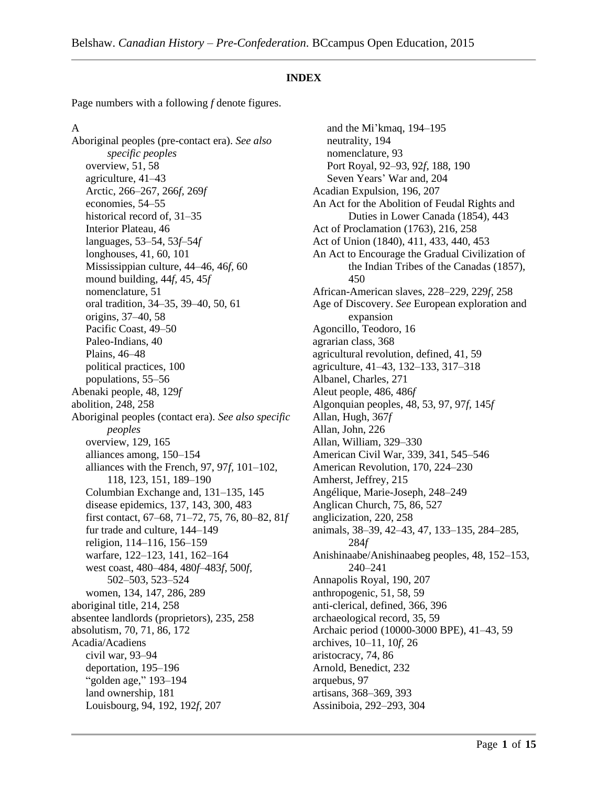#### **INDEX**

Page numbers with a following *f* denote figures.

#### A

Aboriginal peoples (pre-contact era). *See also specific peoples* overview, 51, 58 agriculture, 41–43 Arctic, 266–267, 266*f,* 269*f* economies, 54–55 historical record of,  $31-35$ Interior Plateau, 46 languages, 53–54, 53*f*–54*f* longhouses, 41, 60, 101 Mississippian culture, 44–46, 46*f,* 60 mound building, 44*f,* 45, 45*f* nomenclature, 51 oral tradition, 34–35, 39–40, 50, 61 origins, 37–40, 58 Pacific Coast, 49–50 Paleo-Indians, 40 Plains, 46–48 political practices, 100 populations, 55–56 Abenaki people, 48, 129*f* abolition, 248, 258 Aboriginal peoples (contact era). *See also specific peoples* overview, 129, 165 alliances among, 150–154 alliances with the French, 97, 97*f,* 101–102, 118, 123, 151, 189–190 Columbian Exchange and, 131–135, 145 disease epidemics, 137, 143, 300, 483 first contact, 67–68, 71–72, 75, 76, 80–82, 81*f* fur trade and culture, 144–149 religion, 114–116, 156–159 warfare, 122–123, 141, 162–164 west coast, 480–484, 480*f*–483*f,* 500*f,* 502–503, 523–524 women, 134, 147, 286, 289 aboriginal title, 214, 258 absentee landlords (proprietors), 235, 258 absolutism, 70, 71, 86, 172 Acadia/Acadiens civil war, 93–94 deportation, 195–196 "golden age," 193–194 land ownership, 181 Louisbourg, 94, 192, 192*f,* 207

and the Mi'kmaq, 194–195 neutrality, 194 nomenclature, 93 Port Royal, 92–93, 92*f,* 188, 190 Seven Years' War and, 204 Acadian Expulsion, 196, 207 An Act for the Abolition of Feudal Rights and Duties in Lower Canada (1854), 443 Act of Proclamation (1763), 216, 258 Act of Union (1840), 411, 433, 440, 453 An Act to Encourage the Gradual Civilization of the Indian Tribes of the Canadas (1857), 450 African-American slaves, 228–229, 229*f,* 258 Age of Discovery. *See* European exploration and expansion Agoncillo, Teodoro, 16 agrarian class, 368 agricultural revolution, defined, 41, 59 agriculture, 41–43, 132–133, 317–318 Albanel, Charles, 271 Aleut people, 486, 486*f* Algonquian peoples, 48, 53, 97, 97*f,* 145*f* Allan, Hugh, 367*f* Allan, John, 226 Allan, William, 329–330 American Civil War, 339, 341, 545–546 American Revolution, 170, 224–230 Amherst, Jeffrey, 215 Angélique, Marie-Joseph, 248–249 Anglican Church, 75, 86, 527 anglicization, 220, 258 animals, 38–39, 42–43, 47, 133–135, 284–285, 284*f* Anishinaabe/Anishinaabeg peoples, 48, 152–153, 240–241 Annapolis Royal, 190, 207 anthropogenic, 51, 58, 59 anti-clerical, defined, 366, 396 archaeological record, 35, 59 Archaic period (10000-3000 BPE), 41–43, 59 archives, 10–11, 10*f,* 26 aristocracy, 74, 86 Arnold, Benedict, 232 arquebus, 97 artisans, 368–369, 393 Assiniboia, 292–293, 304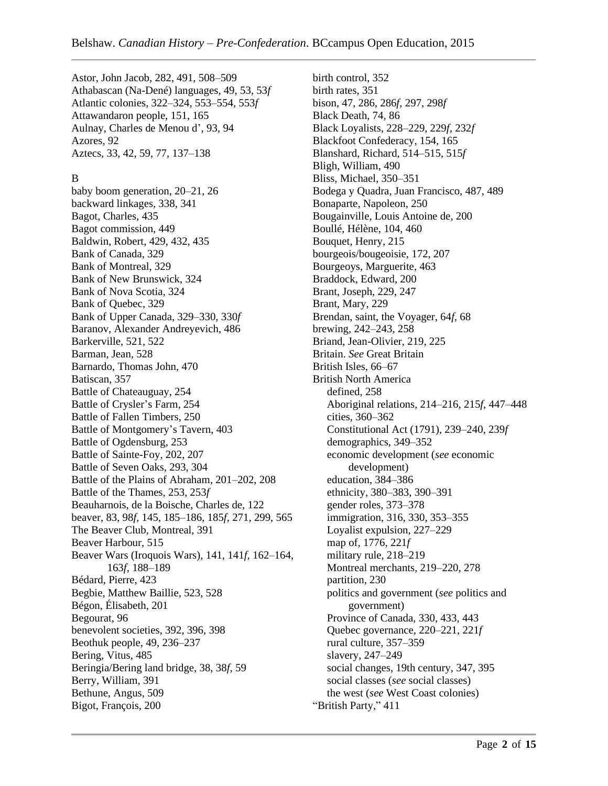Astor, John Jacob, 282, 491, 508–509 Athabascan (Na-Dené) languages, 49, 53, 53*f* Atlantic colonies, 322–324, 553–554, 553*f* Attawandaron people, 151, 165 Aulnay, Charles de Menou d', 93, 94 Azores, 92 Aztecs, 33, 42, 59, 77, 137–138

#### B

baby boom generation, 20–21, 26 backward linkages, 338, 341 Bagot, Charles, 435 Bagot commission, 449 Baldwin, Robert, 429, 432, 435 Bank of Canada, 329 Bank of Montreal, 329 Bank of New Brunswick, 324 Bank of Nova Scotia, 324 Bank of Quebec, 329 Bank of Upper Canada, 329–330, 330*f* Baranov, Alexander Andreyevich, 486 Barkerville, 521, 522 Barman, Jean, 528 Barnardo, Thomas John, 470 Batiscan, 357 Battle of Chateauguay, 254 Battle of Crysler's Farm, 254 Battle of Fallen Timbers, 250 Battle of Montgomery's Tavern, 403 Battle of Ogdensburg, 253 Battle of Sainte-Foy, 202, 207 Battle of Seven Oaks, 293, 304 Battle of the Plains of Abraham, 201–202, 208 Battle of the Thames, 253, 253*f* Beauharnois, de la Boische, Charles de, 122 beaver, 83, 98*f,* 145, 185–186, 185*f,* 271, 299, 565 The Beaver Club, Montreal, 391 Beaver Harbour, 515 Beaver Wars (Iroquois Wars), 141, 141*f,* 162–164, 163*f,* 188–189 Bédard, Pierre, 423 Begbie, Matthew Baillie, 523, 528 Bégon, Élisabeth, 201 Begourat, 96 benevolent societies, 392, 396, 398 Beothuk people, 49, 236–237 Bering, Vitus, 485 Beringia/Bering land bridge, 38, 38*f,* 59 Berry, William, 391 Bethune, Angus, 509 Bigot, François, 200

birth control, 352 birth rates, 351 bison, 47, 286, 286*f,* 297, 298*f* Black Death, 74, 86 Black Loyalists, 228–229, 229*f,* 232*f* Blackfoot Confederacy, 154, 165 Blanshard, Richard, 514–515, 515*f* Bligh, William, 490 Bliss, Michael, 350–351 Bodega y Quadra, Juan Francisco, 487, 489 Bonaparte, Napoleon, 250 Bougainville, Louis Antoine de, 200 Boullé, Hélène, 104, 460 Bouquet, Henry, 215 bourgeois/bougeoisie, 172, 207 Bourgeoys, Marguerite, 463 Braddock, Edward, 200 Brant, Joseph, 229, 247 Brant, Mary, 229 Brendan, saint, the Voyager, 64*f,* 68 brewing, 242–243, 258 Briand, Jean-Olivier, 219, 225 Britain. *See* Great Britain British Isles, 66–67 British North America defined, 258 Aboriginal relations, 214–216, 215*f,* 447–448 cities, 360–362 Constitutional Act (1791), 239–240, 239*f* demographics, 349–352 economic development (*see* economic development) education, 384–386 ethnicity, 380–383, 390–391 gender roles, 373–378 immigration, 316, 330, 353–355 Loyalist expulsion, 227–229 map of, 1776, 221*f* military rule, 218–219 Montreal merchants, 219–220, 278 partition, 230 politics and government (*see* politics and government) Province of Canada, 330, 433, 443 Quebec governance, 220–221, 221*f* rural culture, 357–359 slavery, 247–249 social changes, 19th century, 347, 395 social classes (*see* social classes) the west (*see* West Coast colonies) "British Party," 411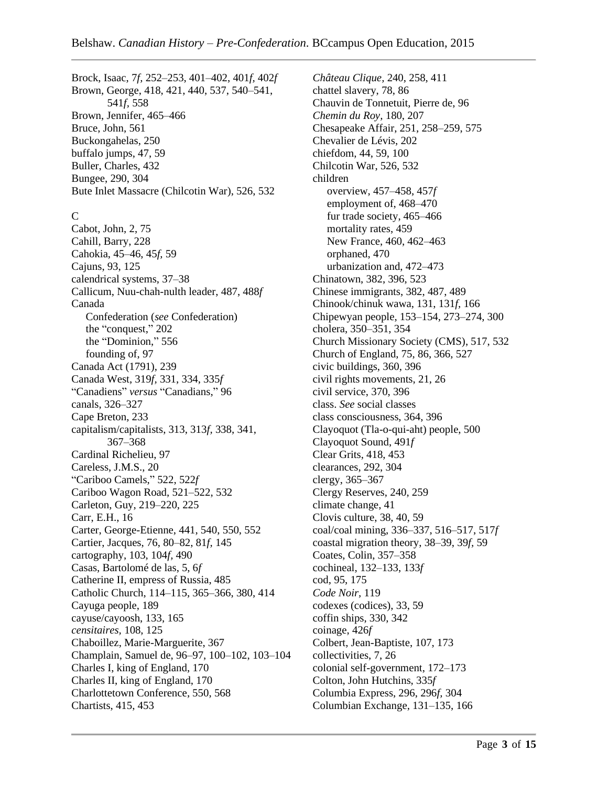Brock, Isaac, 7*f,* 252–253, 401–402, 401*f,* 402*f* Brown, George, 418, 421, 440, 537, 540–541, 541*f,* 558 Brown, Jennifer, 465–466 Bruce, John, 561 Buckongahelas, 250 buffalo jumps, 47, 59 Buller, Charles, 432 Bungee, 290, 304 Bute Inlet Massacre (Chilcotin War), 526, 532 C Cabot, John, 2, 75 Cahill, Barry, 228 Cahokia, 45–46, 45*f,* 59 Cajuns, 93, 125 calendrical systems, 37–38 Callicum, Nuu-chah-nulth leader, 487, 488*f* Canada Confederation (*see* Confederation) the "conquest," 202 the "Dominion," 556 founding of, 97 Canada Act (1791), 239 Canada West, 319*f,* 331, 334, 335*f* "Canadiens" *versus* "Canadians," 96 canals, 326–327 Cape Breton, 233 capitalism/capitalists, 313, 313*f,* 338, 341, 367–368 Cardinal Richelieu, 97 Careless, J.M.S., 20 "Cariboo Camels," 522, 522*f* Cariboo Wagon Road, 521–522, 532 Carleton, Guy, 219–220, 225 Carr, E.H., 16 Carter, George-Etienne, 441, 540, 550, 552 Cartier, Jacques, 76, 80–82, 81*f,* 145 cartography, 103, 104*f,* 490 Casas, Bartolomé de las, 5, 6*f* Catherine II, empress of Russia, 485 Catholic Church, 114–115, 365–366, 380, 414 Cayuga people, 189 cayuse/cayoosh, 133, 165 *censitaires,* 108, 125 Chaboillez, Marie-Marguerite, 367 Champlain, Samuel de, 96–97, 100–102, 103–104 Charles I, king of England, 170 Charles II, king of England, 170 Charlottetown Conference, 550, 568 Chartists, 415, 453

*Château Clique,* 240, 258, 411 chattel slavery, 78, 86 Chauvin de Tonnetuit, Pierre de, 96 *Chemin du Roy,* 180, 207 Chesapeake Affair, 251, 258–259, 575 Chevalier de Lévis, 202 chiefdom, 44, 59, 100 Chilcotin War, 526, 532 children overview, 457–458, 457*f* employment of, 468–470 fur trade society, 465–466 mortality rates, 459 New France, 460, 462–463 orphaned, 470 urbanization and, 472–473 Chinatown, 382, 396, 523 Chinese immigrants, 382, 487, 489 Chinook/chinuk wawa, 131, 131*f,* 166 Chipewyan people, 153–154, 273–274, 300 cholera, 350–351, 354 Church Missionary Society (CMS), 517, 532 Church of England, 75, 86, 366, 527 civic buildings, 360, 396 civil rights movements, 21, 26 civil service, 370, 396 class. *See* social classes class consciousness, 364, 396 Clayoquot (Tla-o-qui-aht) people, 500 Clayoquot Sound, 491*f* Clear Grits, 418, 453 clearances, 292, 304 clergy, 365–367 Clergy Reserves, 240, 259 climate change, 41 Clovis culture, 38, 40, 59 coal/coal mining, 336–337, 516–517, 517*f* coastal migration theory, 38–39, 39*f,* 59 Coates, Colin, 357–358 cochineal, 132–133, 133*f* cod, 95, 175 *Code Noir,* 119 codexes (codices), 33, 59 coffin ships, 330, 342 coinage, 426*f* Colbert, Jean-Baptiste, 107, 173 collectivities, 7, 26 colonial self-government, 172–173 Colton, John Hutchins, 335*f* Columbia Express, 296, 296*f,* 304 Columbian Exchange, 131–135, 166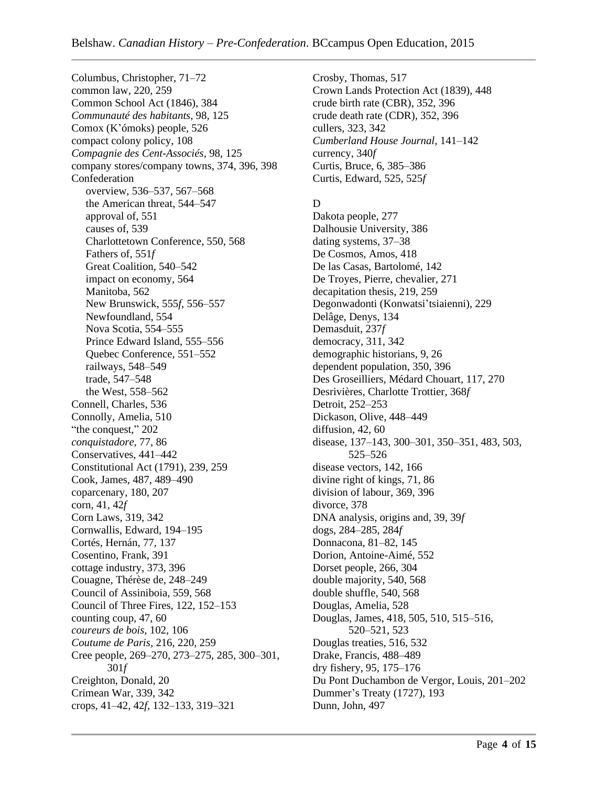Columbus, Christopher, 71–72 common law, 220, 259 Common School Act (1846), 384 *Communauté des habitants,* 98, 125 Comox (K'ómoks) people, 526 compact colony policy, 108 *Compagnie des Cent-Associés,* 98, 125 company stores/company towns, 374, 396, 398 Confederation overview, 536–537, 567–568 the American threat, 544–547 approval of, 551 causes of, 539 Charlottetown Conference, 550, 568 Fathers of, 551*f* Great Coalition, 540–542 impact on economy, 564 Manitoba, 562 New Brunswick, 555*f,* 556–557 Newfoundland, 554 Nova Scotia, 554–555 Prince Edward Island, 555–556 Quebec Conference, 551–552 railways, 548–549 trade, 547–548 the West, 558–562 Connell, Charles, 536 Connolly, Amelia, 510 "the conquest," 202 *conquistadore,* 77, 86 Conservatives, 441–442 Constitutional Act (1791), 239, 259 Cook, James, 487, 489–490 coparcenary, 180, 207 corn, 41, 42*f* Corn Laws, 319, 342 Cornwallis, Edward, 194–195 Cortés, Hernán, 77, 137 Cosentino, Frank, 391 cottage industry, 373, 396 Couagne, Thérèse de, 248–249 Council of Assiniboia, 559, 568 Council of Three Fires, 122, 152–153 counting coup, 47, 60 *coureurs de bois,* 102, 106 *Coutume de Paris,* 216, 220, 259 Cree people, 269–270, 273–275, 285, 300–301, 301*f* Creighton, Donald, 20 Crimean War, 339, 342 crops, 41–42, 42*f,* 132–133, 319–321

Crosby, Thomas, 517 Crown Lands Protection Act (1839), 448 crude birth rate (CBR), 352, 396 crude death rate (CDR), 352, 396 cullers, 323, 342 *Cumberland House Journal,* 141–142 currency, 340*f* Curtis, Bruce, 6, 385–386 Curtis, Edward, 525, 525*f*

#### D

Dakota people, 277 Dalhousie University, 386 dating systems, 37–38 De Cosmos, Amos, 418 De las Casas, Bartolomé, 142 De Troyes, Pierre, chevalier, 271 decapitation thesis, 219, 259 Degonwadonti (Konwatsi'tsiaienni), 229 Delâge, Denys, 134 Demasduit, 237*f* democracy, 311, 342 demographic historians, 9, 26 dependent population, 350, 396 Des Groseilliers, Médard Chouart, 117, 270 Desrivières, Charlotte Trottier, 368*f* Detroit, 252–253 Dickason, Olive, 448–449 diffusion, 42, 60 disease, 137–143, 300–301, 350–351, 483, 503, 525–526 disease vectors, 142, 166 divine right of kings, 71, 86 division of labour, 369, 396 divorce, 378 DNA analysis, origins and, 39, 39*f* dogs, 284–285, 284*f* Donnacona, 81–82, 145 Dorion, Antoine-Aimé, 552 Dorset people, 266, 304 double majority, 540, 568 double shuffle, 540, 568 Douglas, Amelia, 528 Douglas, James, 418, 505, 510, 515–516, 520–521, 523 Douglas treaties, 516, 532 Drake, Francis, 488–489 dry fishery, 95, 175–176 Du Pont Duchambon de Vergor, Louis, 201–202 Dummer's Treaty (1727), 193 Dunn, John, 497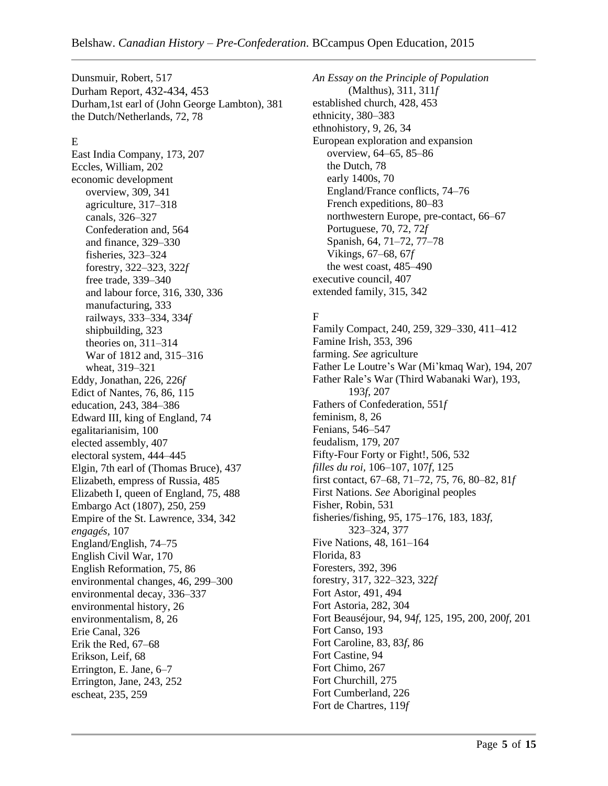Dunsmuir, Robert, 517 Durham Report, 432-434, 453 Durham,1st earl of (John George Lambton), 381 the Dutch/Netherlands, 72, 78

### E

East India Company, 173, 207 Eccles, William, 202 economic development overview, 309, 341 agriculture, 317–318 canals, 326–327 Confederation and, 564 and finance, 329–330 fisheries, 323–324 forestry, 322–323, 322*f* free trade, 339–340 and labour force, 316, 330, 336 manufacturing, 333 railways, 333–334, 334*f* shipbuilding, 323 theories on, 311–314 War of 1812 and, 315–316 wheat, 319–321 Eddy, Jonathan, 226, 226*f* Edict of Nantes, 76, 86, 115 education, 243, 384–386 Edward III, king of England, 74 egalitarianisim, 100 elected assembly, 407 electoral system, 444–445 Elgin, 7th earl of (Thomas Bruce), 437 Elizabeth, empress of Russia, 485 Elizabeth I, queen of England, 75, 488 Embargo Act (1807), 250, 259 Empire of the St. Lawrence, 334, 342 *engagés,* 107 England/English, 74–75 English Civil War, 170 English Reformation, 75, 86 environmental changes, 46, 299–300 environmental decay, 336–337 environmental history, 26 environmentalism, 8, 26 Erie Canal, 326 Erik the Red, 67–68 Erikson, Leif, 68 Errington, E. Jane, 6–7 Errington, Jane, 243, 252 escheat, 235, 259

*An Essay on the Principle of Population* (Malthus), 311, 311*f* established church, 428, 453 ethnicity, 380–383 ethnohistory, 9, 26, 34 European exploration and expansion overview, 64–65, 85–86 the Dutch, 78 early 1400s, 70 England/France conflicts, 74–76 French expeditions, 80–83 northwestern Europe, pre-contact, 66–67 Portuguese, 70, 72, 72*f* Spanish, 64, 71–72, 77–78 Vikings, 67–68, 67*f* the west coast, 485–490 executive council, 407 extended family, 315, 342

# F

Family Compact, 240, 259, 329–330, 411–412 Famine Irish, 353, 396 farming. *See* agriculture Father Le Loutre's War (Mi'kmaq War), 194, 207 Father Rale's War (Third Wabanaki War), 193, 193*f,* 207 Fathers of Confederation, 551*f* feminism, 8, 26 Fenians, 546–547 feudalism, 179, 207 Fifty-Four Forty or Fight!, 506, 532 *filles du roi,* 106–107, 107*f,* 125 first contact, 67–68, 71–72, 75, 76, 80–82, 81*f* First Nations. *See* Aboriginal peoples Fisher, Robin, 531 fisheries/fishing, 95, 175–176, 183, 183*f,* 323–324, 377 Five Nations, 48, 161–164 Florida, 83 Foresters, 392, 396 forestry, 317, 322–323, 322*f* Fort Astor, 491, 494 Fort Astoria, 282, 304 Fort Beauséjour, 94, 94*f,* 125, 195, 200, 200*f,* 201 Fort Canso, 193 Fort Caroline, 83, 83*f,* 86 Fort Castine, 94 Fort Chimo, 267 Fort Churchill, 275 Fort Cumberland, 226 Fort de Chartres, 119*f*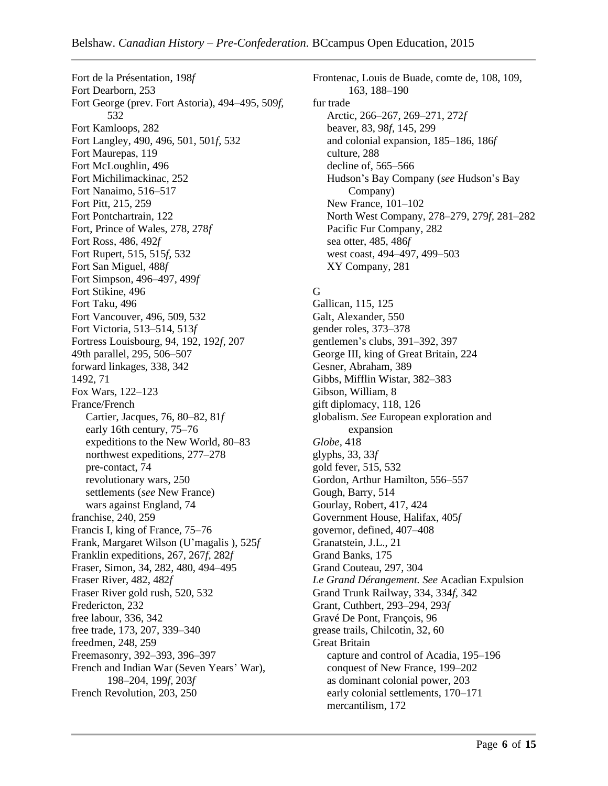Fort de la Présentation, 198*f* Fort Dearborn, 253 Fort George (prev. Fort Astoria), 494–495, 509*f,* 532 Fort Kamloops, 282 Fort Langley, 490, 496, 501, 501*f,* 532 Fort Maurepas, 119 Fort McLoughlin, 496 Fort Michilimackinac, 252 Fort Nanaimo, 516–517 Fort Pitt, 215, 259 Fort Pontchartrain, 122 Fort, Prince of Wales, 278, 278*f* Fort Ross, 486, 492*f* Fort Rupert, 515, 515*f,* 532 Fort San Miguel, 488*f* Fort Simpson, 496–497, 499*f* Fort Stikine, 496 Fort Taku, 496 Fort Vancouver, 496, 509, 532 Fort Victoria, 513–514, 513*f* Fortress Louisbourg, 94, 192, 192*f,* 207 49th parallel, 295, 506–507 forward linkages, 338, 342 1492, 71 Fox Wars, 122–123 France/French Cartier, Jacques, 76, 80–82, 81*f* early 16th century, 75–76 expeditions to the New World, 80–83 northwest expeditions, 277–278 pre-contact, 74 revolutionary wars, 250 settlements (*see* New France) wars against England, 74 franchise, 240, 259 Francis I, king of France, 75–76 Frank, Margaret Wilson (U'magalis ), 525*f* Franklin expeditions, 267, 267*f,* 282*f* Fraser, Simon, 34, 282, 480, 494–495 Fraser River, 482, 482*f* Fraser River gold rush, 520, 532 Fredericton, 232 free labour, 336, 342 free trade, 173, 207, 339–340 freedmen, 248, 259 Freemasonry, 392–393, 396–397 French and Indian War (Seven Years' War), 198–204, 199*f,* 203*f* French Revolution, 203, 250

Frontenac, Louis de Buade, comte de, 108, 109, 163, 188–190 fur trade Arctic, 266–267, 269–271, 272*f* beaver, 83, 98*f,* 145, 299 and colonial expansion, 185–186, 186*f* culture, 288 decline of, 565–566 Hudson's Bay Company (*see* Hudson's Bay Company) New France, 101–102 North West Company, 278–279, 279*f,* 281–282 Pacific Fur Company, 282 sea otter, 485, 486*f* west coast, 494–497, 499–503 XY Company, 281

### G

Gallican, 115, 125 Galt, Alexander, 550 gender roles, 373–378 gentlemen's clubs, 391–392, 397 George III, king of Great Britain, 224 Gesner, Abraham, 389 Gibbs, Mifflin Wistar, 382–383 Gibson, William, 8 gift diplomacy, 118, 126 globalism. *See* European exploration and expansion *Globe,* 418 glyphs, 33, 33*f* gold fever, 515, 532 Gordon, Arthur Hamilton, 556–557 Gough, Barry, 514 Gourlay, Robert, 417, 424 Government House, Halifax, 405*f* governor, defined, 407–408 Granatstein, J.L., 21 Grand Banks, 175 Grand Couteau, 297, 304 *Le Grand Dérangement. See* Acadian Expulsion Grand Trunk Railway, 334, 334*f,* 342 Grant, Cuthbert, 293–294, 293*f* Gravé De Pont, François, 96 grease trails, Chilcotin, 32, 60 Great Britain capture and control of Acadia, 195–196 conquest of New France, 199–202 as dominant colonial power, 203 early colonial settlements, 170–171 mercantilism, 172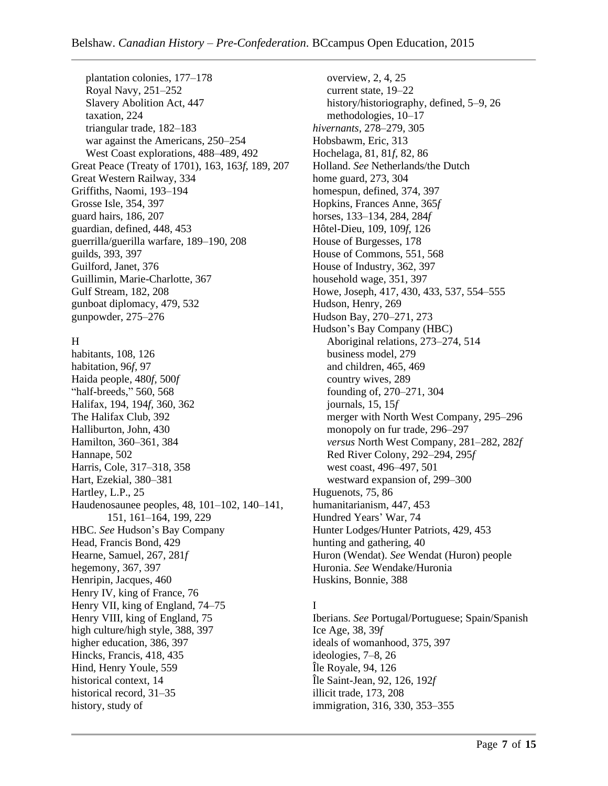plantation colonies, 177–178 Royal Navy, 251–252 Slavery Abolition Act, 447 taxation, 224 triangular trade, 182–183 war against the Americans, 250–254 West Coast explorations, 488–489, 492 Great Peace (Treaty of 1701), 163, 163*f,* 189, 207 Great Western Railway, 334 Griffiths, Naomi, 193–194 Grosse Isle, 354, 397 guard hairs, 186, 207 guardian, defined, 448, 453 guerrilla/guerilla warfare, 189–190, 208 guilds, 393, 397 Guilford, Janet, 376 Guillimin, Marie-Charlotte, 367 Gulf Stream, 182, 208 gunboat diplomacy, 479, 532 gunpowder, 275–276

# H

habitants, 108, 126 habitation, 96*f,* 97 Haida people, 480*f,* 500*f* "half-breeds," 560, 568 Halifax, 194, 194*f,* 360, 362 The Halifax Club, 392 Halliburton, John, 430 Hamilton, 360–361, 384 Hannape, 502 Harris, Cole, 317–318, 358 Hart, Ezekial, 380–381 Hartley, L.P., 25 Haudenosaunee peoples, 48, 101–102, 140–141, 151, 161–164, 199, 229 HBC. *See* Hudson's Bay Company Head, Francis Bond, 429 Hearne, Samuel, 267, 281*f* hegemony, 367, 397 Henripin, Jacques, 460 Henry IV, king of France, 76 Henry VII, king of England, 74–75 Henry VIII, king of England, 75 high culture/high style, 388, 397 higher education, 386, 397 Hincks, Francis, 418, 435 Hind, Henry Youle, 559 historical context, 14 historical record, 31–35 history, study of

overview, 2, 4, 25 current state, 19–22 history/historiography, defined, 5–9, 26 methodologies, 10–17 *hivernants,* 278–279, 305 Hobsbawm, Eric, 313 Hochelaga, 81, 81*f,* 82, 86 Holland. *See* Netherlands/the Dutch home guard, 273, 304 homespun, defined, 374, 397 Hopkins, Frances Anne, 365*f* horses, 133–134, 284, 284*f* Hôtel-Dieu, 109, 109*f,* 126 House of Burgesses, 178 House of Commons, 551, 568 House of Industry, 362, 397 household wage, 351, 397 Howe, Joseph, 417, 430, 433, 537, 554–555 Hudson, Henry, 269 Hudson Bay, 270–271, 273 Hudson's Bay Company (HBC) Aboriginal relations, 273–274, 514 business model, 279 and children, 465, 469 country wives, 289 founding of, 270–271, 304 journals, 15, 15*f* merger with North West Company, 295–296 monopoly on fur trade, 296–297 *versus* North West Company, 281–282, 282*f* Red River Colony, 292–294, 295*f* west coast, 496–497, 501 westward expansion of, 299–300 Huguenots, 75, 86 humanitarianism, 447, 453 Hundred Years' War, 74 Hunter Lodges/Hunter Patriots, 429, 453 hunting and gathering, 40 Huron (Wendat). *See* Wendat (Huron) people Huronia. *See* Wendake/Huronia Huskins, Bonnie, 388

# I

Iberians. *See* Portugal/Portuguese; Spain/Spanish Ice Age, 38, 39*f* ideals of womanhood, 375, 397 ideologies, 7–8, 26 Île Royale, 94, 126 Île Saint-Jean, 92, 126, 192*f* illicit trade, 173, 208 immigration, 316, 330, 353–355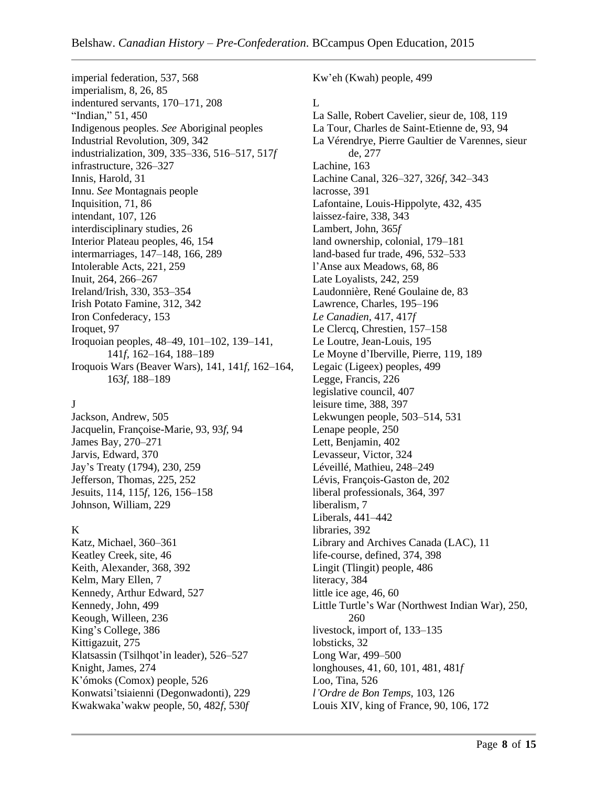imperial federation, 537, 568 imperialism, 8, 26, 85 indentured servants, 170–171, 208 "Indian," 51, 450 Indigenous peoples. *See* Aboriginal peoples Industrial Revolution, 309, 342 industrialization, 309, 335–336, 516–517, 517*f* infrastructure, 326–327 Innis, Harold, 31 Innu. *See* Montagnais people Inquisition, 71, 86 intendant, 107, 126 interdisciplinary studies, 26 Interior Plateau peoples, 46, 154 intermarriages, 147–148, 166, 289 Intolerable Acts, 221, 259 Inuit, 264, 266–267 Ireland/Irish, 330, 353–354 Irish Potato Famine, 312, 342 Iron Confederacy, 153 Iroquet, 97 Iroquoian peoples, 48–49, 101–102, 139–141, 141*f,* 162–164, 188–189 Iroquois Wars (Beaver Wars), 141, 141*f,* 162–164, 163*f,* 188–189

#### J

Jackson, Andrew, 505 Jacquelin, Françoise-Marie, 93, 93*f,* 94 James Bay, 270–271 Jarvis, Edward, 370 Jay's Treaty (1794), 230, 259 Jefferson, Thomas, 225, 252 Jesuits, 114, 115*f,* 126, 156–158 Johnson, William, 229

#### K

Katz, Michael, 360–361 Keatley Creek, site, 46 Keith, Alexander, 368, 392 Kelm, Mary Ellen, 7 Kennedy, Arthur Edward, 527 Kennedy, John, 499 Keough, Willeen, 236 King's College, 386 Kittigazuit, 275 Klatsassin (Tsilhqot'in leader), 526–527 Knight, James, 274 K'ómoks (Comox) people, 526 Konwatsi'tsiaienni (Degonwadonti), 229 Kwakwaka'wakw people, 50, 482*f,* 530*f* Kw'eh (Kwah) people, 499

#### $\mathbf{L}$

La Salle, Robert Cavelier, sieur de, 108, 119 La Tour, Charles de Saint-Etienne de, 93, 94 La Vérendrye, Pierre Gaultier de Varennes, sieur de, 277 Lachine, 163 Lachine Canal, 326–327, 326*f,* 342–343 lacrosse, 391 Lafontaine, Louis-Hippolyte, 432, 435 laissez-faire, 338, 343 Lambert, John, 365*f* land ownership, colonial, 179–181 land-based fur trade, 496, 532–533 l'Anse aux Meadows, 68, 86 Late Loyalists, 242, 259 Laudonnière, René Goulaine de, 83 Lawrence, Charles, 195–196 *Le Canadien,* 417, 417*f* Le Clercq, Chrestien, 157–158 Le Loutre, Jean-Louis, 195 Le Moyne d'Iberville, Pierre, 119, 189 Legaic (Ligeex) peoples, 499 Legge, Francis, 226 legislative council, 407 leisure time, 388, 397 Lekwungen people, 503–514, 531 Lenape people, 250 Lett, Benjamin, 402 Levasseur, Victor, 324 Léveillé, Mathieu, 248–249 Lévis, François-Gaston de, 202 liberal professionals, 364, 397 liberalism, 7 Liberals, 441–442 libraries, 392 Library and Archives Canada (LAC), 11 life-course, defined, 374, 398 Lingit (Tlingit) people, 486 literacy, 384 little ice age, 46, 60 Little Turtle's War (Northwest Indian War), 250, 260 livestock, import of, 133–135 lobsticks, 32 Long War, 499–500 longhouses, 41, 60, 101, 481, 481*f* Loo, Tina, 526 *l'Ordre de Bon Temps,* 103, 126 Louis XIV, king of France, 90, 106, 172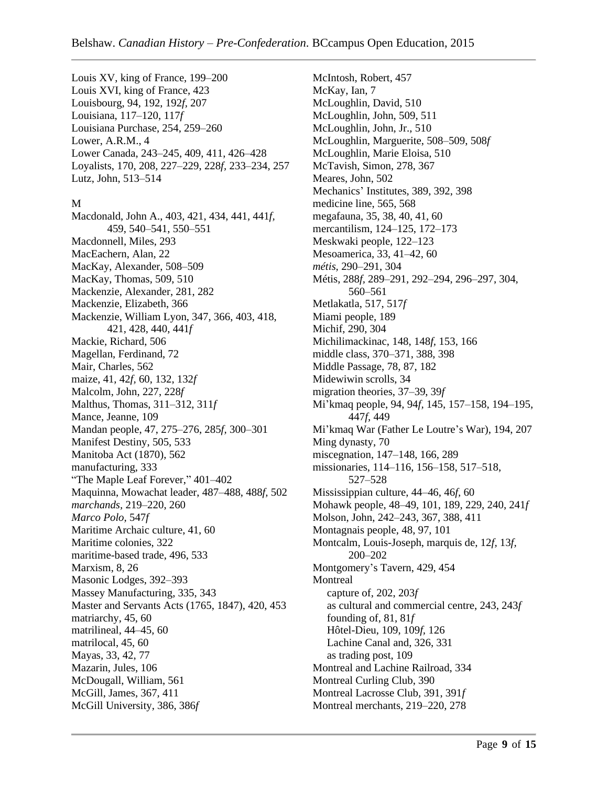Louis XV, king of France, 199–200 Louis XVI, king of France, 423 Louisbourg, 94, 192, 192*f,* 207 Louisiana, 117–120, 117*f* Louisiana Purchase, 254, 259–260 Lower, A.R.M., 4 Lower Canada, 243–245, 409, 411, 426–428 Loyalists, 170, 208, 227–229, 228*f,* 233–234, 257 Lutz, John, 513–514

#### M

Macdonald, John A., 403, 421, 434, 441, 441*f,* 459, 540–541, 550–551 Macdonnell, Miles, 293 MacEachern, Alan, 22 MacKay, Alexander, 508–509 MacKay, Thomas, 509, 510 Mackenzie, Alexander, 281, 282 Mackenzie, Elizabeth, 366 Mackenzie, William Lyon, 347, 366, 403, 418, 421, 428, 440, 441*f* Mackie, Richard, 506 Magellan, Ferdinand, 72 Mair, Charles, 562 maize, 41, 42*f,* 60, 132, 132*f* Malcolm, John, 227, 228*f* Malthus, Thomas, 311–312, 311*f* Mance, Jeanne, 109 Mandan people, 47, 275–276, 285*f,* 300–301 Manifest Destiny, 505, 533 Manitoba Act (1870), 562 manufacturing, 333 "The Maple Leaf Forever," 401–402 Maquinna, Mowachat leader, 487–488, 488*f,* 502 *marchands,* 219–220, 260 *Marco Polo,* 547*f* Maritime Archaic culture, 41, 60 Maritime colonies, 322 maritime-based trade, 496, 533 Marxism, 8, 26 Masonic Lodges, 392–393 Massey Manufacturing, 335, 343 Master and Servants Acts (1765, 1847), 420, 453 matriarchy, 45, 60 matrilineal, 44–45, 60 matrilocal, 45, 60 Mayas, 33, 42, 77 Mazarin, Jules, 106 McDougall, William, 561 McGill, James, 367, 411 McGill University, 386, 386*f*

McIntosh, Robert, 457 McKay, Ian, 7 McLoughlin, David, 510 McLoughlin, John, 509, 511 McLoughlin, John, Jr., 510 McLoughlin, Marguerite, 508–509, 508*f* McLoughlin, Marie Eloisa, 510 McTavish, Simon, 278, 367 Meares, John, 502 Mechanics' Institutes, 389, 392, 398 medicine line, 565, 568 megafauna, 35, 38, 40, 41, 60 mercantilism, 124–125, 172–173 Meskwaki people, 122–123 Mesoamerica, 33, 41–42, 60 *métis,* 290–291, 304 Métis, 288*f,* 289–291, 292–294, 296–297, 304, 560–561 Metlakatla, 517, 517*f* Miami people, 189 Michif, 290, 304 Michilimackinac, 148, 148*f,* 153, 166 middle class, 370–371, 388, 398 Middle Passage, 78, 87, 182 Midewiwin scrolls, 34 migration theories, 37–39, 39*f* Mi'kmaq people, 94, 94*f,* 145, 157–158, 194–195, 447*f,* 449 Mi'kmaq War (Father Le Loutre's War), 194, 207 Ming dynasty, 70 miscegnation, 147–148, 166, 289 missionaries, 114–116, 156–158, 517–518, 527–528 Mississippian culture, 44–46, 46*f,* 60 Mohawk people, 48–49, 101, 189, 229, 240, 241*f* Molson, John, 242–243, 367, 388, 411 Montagnais people, 48, 97, 101 Montcalm, Louis-Joseph, marquis de, 12*f,* 13*f,* 200–202 Montgomery's Tavern, 429, 454 **Montreal** capture of, 202, 203*f* as cultural and commercial centre, 243, 243*f* founding of, 81, 81*f* Hôtel-Dieu, 109, 109*f,* 126 Lachine Canal and, 326, 331 as trading post, 109 Montreal and Lachine Railroad, 334 Montreal Curling Club, 390 Montreal Lacrosse Club, 391, 391*f* Montreal merchants, 219–220, 278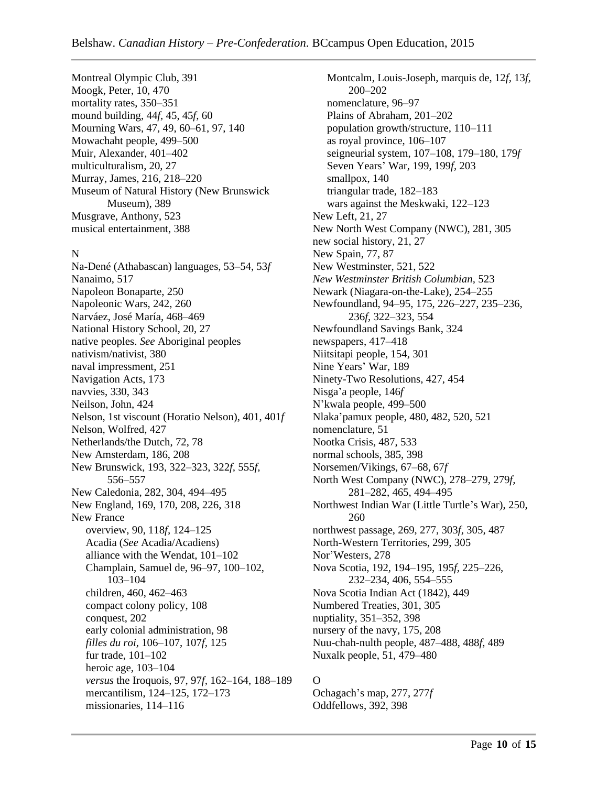Montreal Olympic Club, 391 Moogk, Peter, 10, 470 mortality rates, 350–351 mound building, 44*f,* 45, 45*f,* 60 Mourning Wars, 47, 49, 60–61, 97, 140 Mowachaht people, 499–500 Muir, Alexander, 401–402 multiculturalism, 20, 27 Murray, James, 216, 218–220 Museum of Natural History (New Brunswick Museum), 389 Musgrave, Anthony, 523 musical entertainment, 388

#### N

Na-Dené (Athabascan) languages, 53–54, 53*f* Nanaimo, 517 Napoleon Bonaparte, 250 Napoleonic Wars, 242, 260 Narváez, José María, 468–469 National History School, 20, 27 native peoples. *See* Aboriginal peoples nativism/nativist, 380 naval impressment, 251 Navigation Acts, 173 navvies, 330, 343 Neilson, John, 424 Nelson, 1st viscount (Horatio Nelson), 401, 401*f* Nelson, Wolfred, 427 Netherlands/the Dutch, 72, 78 New Amsterdam, 186, 208 New Brunswick, 193, 322–323, 322*f,* 555*f,* 556–557 New Caledonia, 282, 304, 494–495 New England, 169, 170, 208, 226, 318 New France overview, 90, 118*f,* 124–125 Acadia (*See* Acadia/Acadiens) alliance with the Wendat, 101–102 Champlain, Samuel de, 96–97, 100–102, 103–104 children, 460, 462–463 compact colony policy, 108 conquest, 202 early colonial administration, 98 *filles du roi,* 106–107, 107*f,* 125 fur trade, 101–102 heroic age, 103–104 *versus* the Iroquois, 97, 97*f,* 162–164, 188–189 mercantilism, 124–125, 172–173 missionaries, 114–116

Montcalm, Louis-Joseph, marquis de, 12*f,* 13*f,* 200–202 nomenclature, 96–97 Plains of Abraham, 201–202 population growth/structure, 110–111 as royal province, 106–107 seigneurial system, 107–108, 179–180, 179*f* Seven Years' War, 199, 199*f,* 203 smallpox, 140 triangular trade, 182–183 wars against the Meskwaki, 122–123 New Left, 21, 27 New North West Company (NWC), 281, 305 new social history, 21, 27 New Spain, 77, 87 New Westminster, 521, 522 *New Westminster British Columbian,* 523 Newark (Niagara-on-the-Lake), 254–255 Newfoundland, 94–95, 175, 226–227, 235–236, 236*f,* 322–323, 554 Newfoundland Savings Bank, 324 newspapers, 417–418 Niitsitapi people, 154, 301 Nine Years' War, 189 Ninety-Two Resolutions, 427, 454 Nisga'a people, 146*f* N'kwala people, 499–500 Nlaka'pamux people, 480, 482, 520, 521 nomenclature, 51 Nootka Crisis, 487, 533 normal schools, 385, 398 Norsemen/Vikings, 67–68, 67*f* North West Company (NWC), 278–279, 279*f,* 281–282, 465, 494–495 Northwest Indian War (Little Turtle's War), 250, 260 northwest passage, 269, 277, 303*f,* 305, 487 North-Western Territories, 299, 305 Nor'Westers, 278 Nova Scotia, 192, 194–195, 195*f,* 225–226, 232–234, 406, 554–555 Nova Scotia Indian Act (1842), 449 Numbered Treaties, 301, 305 nuptiality, 351–352, 398 nursery of the navy, 175, 208 Nuu-chah-nulth people, 487–488, 488*f,* 489 Nuxalk people, 51, 479–480

#### $\Omega$

Ochagach's map, 277, 277*f* Oddfellows, 392, 398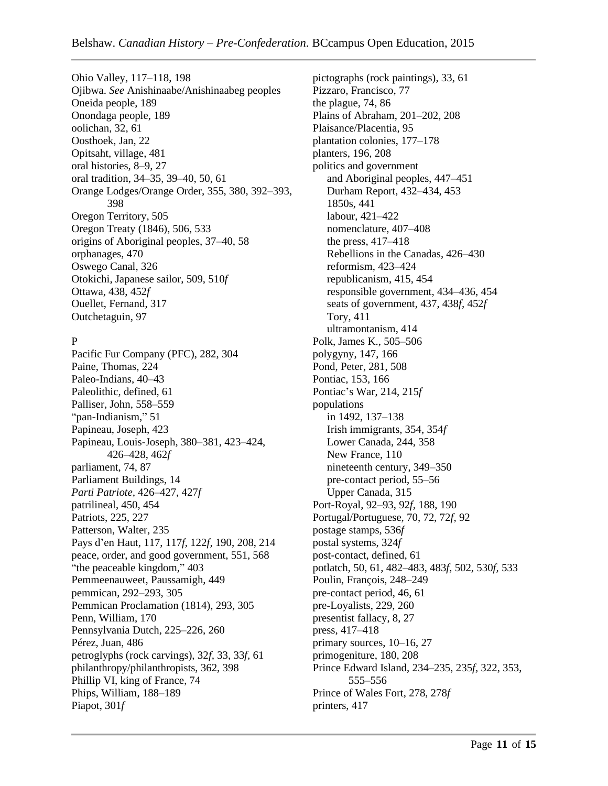Ohio Valley, 117–118, 198 Ojibwa. *See* Anishinaabe/Anishinaabeg peoples Oneida people, 189 Onondaga people, 189 oolichan, 32, 61 Oosthoek, Jan, 22 Opitsaht, village, 481 oral histories, 8–9, 27 oral tradition, 34–35, 39–40, 50, 61 Orange Lodges/Orange Order, 355, 380, 392–393, 398 Oregon Territory, 505 Oregon Treaty (1846), 506, 533 origins of Aboriginal peoples, 37–40, 58 orphanages, 470 Oswego Canal, 326 Otokichi, Japanese sailor, 509, 510*f* Ottawa, 438, 452*f* Ouellet, Fernand, 317 Outchetaguin, 97

# P

Pacific Fur Company (PFC), 282, 304 Paine, Thomas, 224 Paleo-Indians, 40–43 Paleolithic, defined, 61 Palliser, John, 558–559 "pan-Indianism," 51 Papineau, Joseph, 423 Papineau, Louis-Joseph, 380–381, 423–424, 426–428, 462*f* parliament, 74, 87 Parliament Buildings, 14 *Parti Patriote,* 426–427, 427*f* patrilineal, 450, 454 Patriots, 225, 227 Patterson, Walter, 235 Pays d'en Haut, 117, 117*f,* 122*f,* 190, 208, 214 peace, order, and good government, 551, 568 "the peaceable kingdom," 403 Pemmeenauweet, Paussamigh, 449 pemmican, 292–293, 305 Pemmican Proclamation (1814), 293, 305 Penn, William, 170 Pennsylvania Dutch, 225–226, 260 Pérez, Juan, 486 petroglyphs (rock carvings), 32*f,* 33, 33*f,* 61 philanthropy/philanthropists, 362, 398 Phillip VI, king of France, 74 Phips, William, 188–189 Piapot, 301*f*

pictographs (rock paintings), 33, 61 Pizzaro, Francisco, 77 the plague, 74, 86 Plains of Abraham, 201–202, 208 Plaisance/Placentia, 95 plantation colonies, 177–178 planters, 196, 208 politics and government and Aboriginal peoples, 447–451 Durham Report, 432–434, 453 1850s, 441 labour, 421–422 nomenclature, 407–408 the press, 417–418 Rebellions in the Canadas, 426–430 reformism, 423–424 republicanism, 415, 454 responsible government, 434–436, 454 seats of government, 437, 438*f,* 452*f* Tory, 411 ultramontanism, 414 Polk, James K., 505–506 polygyny, 147, 166 Pond, Peter, 281, 508 Pontiac, 153, 166 Pontiac's War, 214, 215*f* populations in 1492, 137–138 Irish immigrants, 354, 354*f* Lower Canada, 244, 358 New France, 110 nineteenth century, 349–350 pre-contact period, 55–56 Upper Canada, 315 Port-Royal, 92–93, 92*f,* 188, 190 Portugal/Portuguese, 70, 72, 72*f,* 92 postage stamps, 536*f* postal systems, 324*f* post-contact, defined, 61 potlatch, 50, 61, 482–483, 483*f,* 502, 530*f,* 533 Poulin, François, 248–249 pre-contact period, 46, 61 pre-Loyalists, 229, 260 presentist fallacy, 8, 27 press, 417–418 primary sources, 10–16, 27 primogeniture, 180, 208 Prince Edward Island, 234–235, 235*f,* 322, 353, 555–556 Prince of Wales Fort, 278, 278*f* printers, 417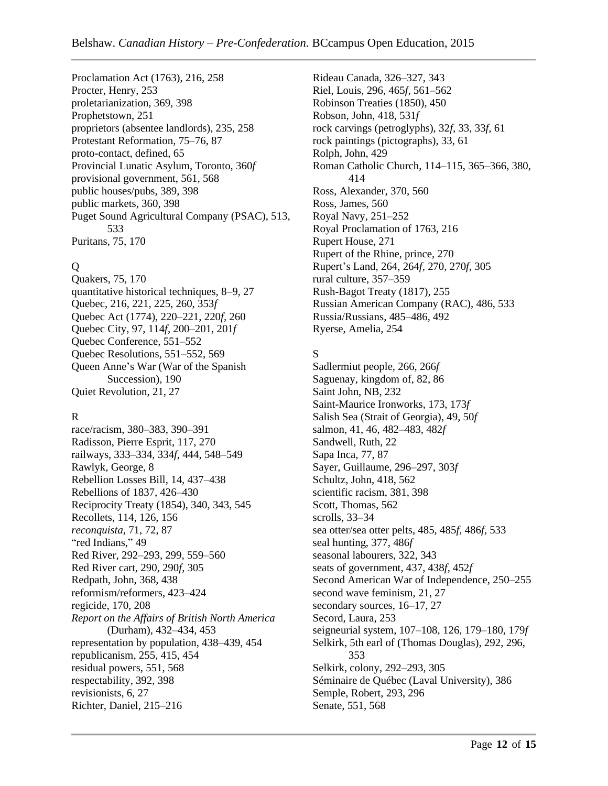Proclamation Act (1763), 216, 258 Procter, Henry, 253 proletarianization, 369, 398 Prophetstown, 251 proprietors (absentee landlords), 235, 258 Protestant Reformation, 75–76, 87 proto-contact, defined, 65 Provincial Lunatic Asylum, Toronto, 360*f* provisional government, 561, 568 public houses/pubs, 389, 398 public markets, 360, 398 Puget Sound Agricultural Company (PSAC), 513, 533 Puritans, 75, 170

# Q

Quakers, 75, 170 quantitative historical techniques, 8–9, 27 Quebec, 216, 221, 225, 260, 353*f* Quebec Act (1774), 220–221, 220*f,* 260 Quebec City, 97, 114*f,* 200–201, 201*f* Quebec Conference, 551–552 Quebec Resolutions, 551–552, 569 Queen Anne's War (War of the Spanish Succession), 190 Quiet Revolution, 21, 27

# R

race/racism, 380–383, 390–391 Radisson, Pierre Esprit, 117, 270 railways, 333–334, 334*f,* 444, 548–549 Rawlyk, George, 8 Rebellion Losses Bill, 14, 437–438 Rebellions of 1837, 426–430 Reciprocity Treaty (1854), 340, 343, 545 Recollets, 114, 126, 156 *reconquista,* 71, 72, 87 "red Indians," 49 Red River, 292–293, 299, 559–560 Red River cart, 290, 290*f,* 305 Redpath, John, 368, 438 reformism/reformers, 423–424 regicide, 170, 208 *Report on the Affairs of British North America* (Durham), 432–434, 453 representation by population, 438–439, 454 republicanism, 255, 415, 454 residual powers, 551, 568 respectability, 392, 398 revisionists, 6, 27 Richter, Daniel, 215–216

Rideau Canada, 326–327, 343 Riel, Louis, 296, 465*f,* 561–562 Robinson Treaties (1850), 450 Robson, John, 418, 531*f* rock carvings (petroglyphs), 32*f,* 33, 33*f,* 61 rock paintings (pictographs), 33, 61 Rolph, John, 429 Roman Catholic Church, 114–115, 365–366, 380, 414 Ross, Alexander, 370, 560 Ross, James, 560 Royal Navy, 251–252 Royal Proclamation of 1763, 216 Rupert House, 271 Rupert of the Rhine, prince, 270 Rupert's Land, 264, 264*f,* 270, 270*f,* 305 rural culture, 357–359 Rush-Bagot Treaty (1817), 255 Russian American Company (RAC), 486, 533 Russia/Russians, 485–486, 492 Ryerse, Amelia, 254

# S

Sadlermiut people, 266, 266*f* Saguenay, kingdom of, 82, 86 Saint John, NB, 232 Saint-Maurice Ironworks, 173, 173*f* Salish Sea (Strait of Georgia), 49, 50*f* salmon, 41, 46, 482–483, 482*f* Sandwell, Ruth, 22 Sapa Inca, 77, 87 Sayer, Guillaume, 296–297, 303*f* Schultz, John, 418, 562 scientific racism, 381, 398 Scott, Thomas, 562 scrolls, 33–34 sea otter/sea otter pelts, 485, 485*f,* 486*f,* 533 seal hunting, 377, 486*f* seasonal labourers, 322, 343 seats of government, 437, 438*f,* 452*f* Second American War of Independence, 250–255 second wave feminism, 21, 27 secondary sources, 16–17, 27 Secord, Laura, 253 seigneurial system, 107–108, 126, 179–180, 179*f* Selkirk, 5th earl of (Thomas Douglas), 292, 296, 353 Selkirk, colony, 292–293, 305 Séminaire de Québec (Laval University), 386 Semple, Robert, 293, 296 Senate, 551, 568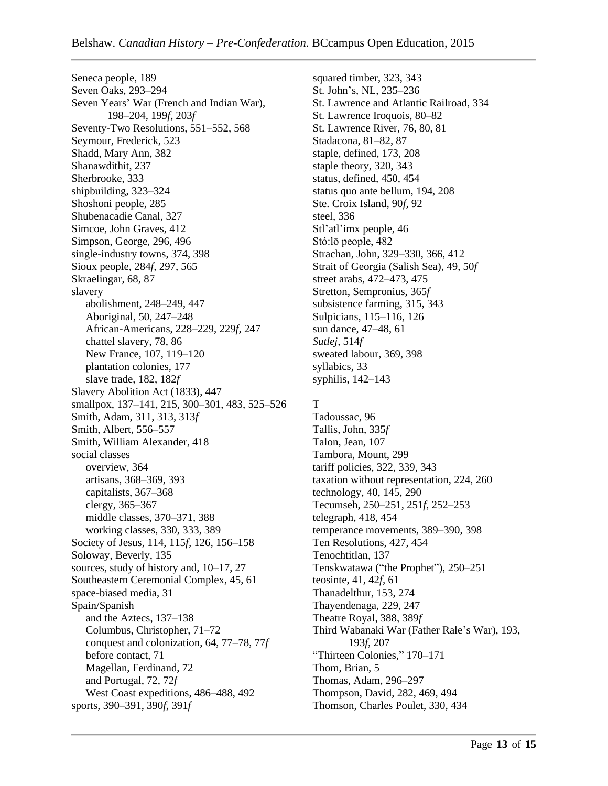Seneca people, 189 Seven Oaks, 293–294 Seven Years' War (French and Indian War), 198–204, 199*f,* 203*f* Seventy-Two Resolutions, 551–552, 568 Seymour, Frederick, 523 Shadd, Mary Ann, 382 Shanawdithit, 237 Sherbrooke, 333 shipbuilding, 323–324 Shoshoni people, 285 Shubenacadie Canal, 327 Simcoe, John Graves, 412 Simpson, George, 296, 496 single-industry towns, 374, 398 Sioux people, 284*f,* 297, 565 Skraelingar, 68, 87 slavery abolishment, 248–249, 447 Aboriginal, 50, 247–248 African-Americans, 228–229, 229*f,* 247 chattel slavery, 78, 86 New France, 107, 119–120 plantation colonies, 177 slave trade, 182, 182*f* Slavery Abolition Act (1833), 447 smallpox, 137–141, 215, 300–301, 483, 525–526 Smith, Adam, 311, 313, 313*f* Smith, Albert, 556–557 Smith, William Alexander, 418 social classes overview, 364 artisans, 368–369, 393 capitalists, 367–368 clergy, 365–367 middle classes, 370–371, 388 working classes, 330, 333, 389 Society of Jesus, 114, 115*f,* 126, 156–158 Soloway, Beverly, 135 sources, study of history and, 10–17, 27 Southeastern Ceremonial Complex, 45, 61 space-biased media, 31 Spain/Spanish and the Aztecs, 137–138 Columbus, Christopher, 71–72 conquest and colonization, 64, 77–78, 77*f* before contact, 71 Magellan, Ferdinand, 72 and Portugal, 72, 72*f* West Coast expeditions, 486–488, 492 sports, 390–391, 390*f,* 391*f*

squared timber, 323, 343 St. John's, NL, 235–236 St. Lawrence and Atlantic Railroad, 334 St. Lawrence Iroquois, 80–82 St. Lawrence River, 76, 80, 81 Stadacona, 81–82, 87 staple, defined, 173, 208 staple theory, 320, 343 status, defined, 450, 454 status quo ante bellum, 194, 208 Ste. Croix Island, 90*f,* 92 steel, 336 Stl'atl'imx people, 46 Stó:lō people, 482 Strachan, John, 329–330, 366, 412 Strait of Georgia (Salish Sea), 49, 50*f* street arabs, 472–473, 475 Stretton, Sempronius, 365*f* subsistence farming, 315, 343 Sulpicians, 115–116, 126 sun dance, 47–48, 61 *Sutlej,* 514*f* sweated labour, 369, 398 syllabics, 33 syphilis, 142–143

# T

Tadoussac, 96 Tallis, John, 335*f* Talon, Jean, 107 Tambora, Mount, 299 tariff policies, 322, 339, 343 taxation without representation, 224, 260 technology, 40, 145, 290 Tecumseh, 250–251, 251*f,* 252–253 telegraph, 418, 454 temperance movements, 389–390, 398 Ten Resolutions, 427, 454 Tenochtitlan, 137 Tenskwatawa ("the Prophet"), 250–251 teosinte, 41, 42*f,* 61 Thanadelthur, 153, 274 Thayendenaga, 229, 247 Theatre Royal, 388, 389*f* Third Wabanaki War (Father Rale's War), 193, 193*f,* 207 "Thirteen Colonies," 170–171 Thom, Brian, 5 Thomas, Adam, 296–297 Thompson, David, 282, 469, 494 Thomson, Charles Poulet, 330, 434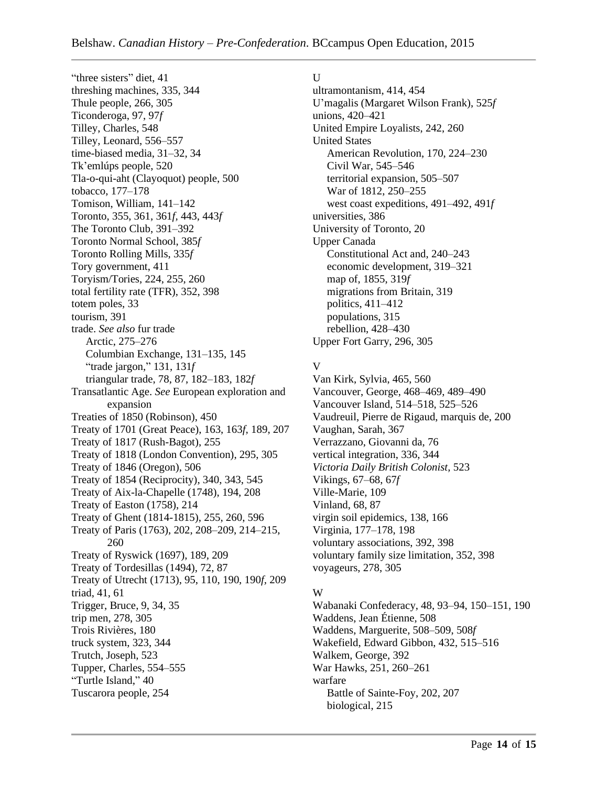"three sisters" diet, 41 threshing machines, 335, 344 Thule people, 266, 305 Ticonderoga, 97, 97*f* Tilley, Charles, 548 Tilley, Leonard, 556–557 time-biased media, 31–32, 34 Tk'emlúps people, 520 Tla-o-qui-aht (Clayoquot) people, 500 tobacco, 177–178 Tomison, William, 141–142 Toronto, 355, 361, 361*f,* 443, 443*f* The Toronto Club, 391–392 Toronto Normal School, 385*f* Toronto Rolling Mills, 335*f* Tory government, 411 Toryism/Tories, 224, 255, 260 total fertility rate (TFR), 352, 398 totem poles, 33 tourism, 391 trade. *See also* fur trade Arctic, 275–276 Columbian Exchange, 131–135, 145 "trade jargon," 131, 131*f* triangular trade, 78, 87, 182–183, 182*f* Transatlantic Age. *See* European exploration and expansion Treaties of 1850 (Robinson), 450 Treaty of 1701 (Great Peace), 163, 163*f,* 189, 207 Treaty of 1817 (Rush-Bagot), 255 Treaty of 1818 (London Convention), 295, 305 Treaty of 1846 (Oregon), 506 Treaty of 1854 (Reciprocity), 340, 343, 545 Treaty of Aix-la-Chapelle (1748), 194, 208 Treaty of Easton (1758), 214 Treaty of Ghent (1814-1815), 255, 260, 596 Treaty of Paris (1763), 202, 208–209, 214–215, 260 Treaty of Ryswick (1697), 189, 209 Treaty of Tordesillas (1494), 72, 87 Treaty of Utrecht (1713), 95, 110, 190, 190*f,* 209 triad, 41, 61 Trigger, Bruce, 9, 34, 35 trip men, 278, 305 Trois Rivières, 180 truck system, 323, 344 Trutch, Joseph, 523 Tupper, Charles, 554–555 "Turtle Island," 40 Tuscarora people, 254

# U

ultramontanism, 414, 454 U'magalis (Margaret Wilson Frank), 525*f* unions, 420–421 United Empire Loyalists, 242, 260 United States American Revolution, 170, 224–230 Civil War, 545–546 territorial expansion, 505–507 War of 1812, 250–255 west coast expeditions, 491–492, 491*f* universities, 386 University of Toronto, 20 Upper Canada Constitutional Act and, 240–243 economic development, 319–321 map of, 1855, 319*f* migrations from Britain, 319 politics, 411–412 populations, 315 rebellion, 428–430 Upper Fort Garry, 296, 305

# V

Van Kirk, Sylvia, 465, 560 Vancouver, George, 468–469, 489–490 Vancouver Island, 514–518, 525–526 Vaudreuil, Pierre de Rigaud, marquis de, 200 Vaughan, Sarah, 367 Verrazzano, Giovanni da, 76 vertical integration, 336, 344 *Victoria Daily British Colonist,* 523 Vikings, 67–68, 67*f* Ville-Marie, 109 Vinland, 68, 87 virgin soil epidemics, 138, 166 Virginia, 177–178, 198 voluntary associations, 392, 398 voluntary family size limitation, 352, 398 voyageurs, 278, 305

# W

Wabanaki Confederacy, 48, 93–94, 150–151, 190 Waddens, Jean Étienne, 508 Waddens, Marguerite, 508–509, 508*f* Wakefield, Edward Gibbon, 432, 515–516 Walkem, George, 392 War Hawks, 251, 260–261 warfare Battle of Sainte-Foy, 202, 207 biological, 215